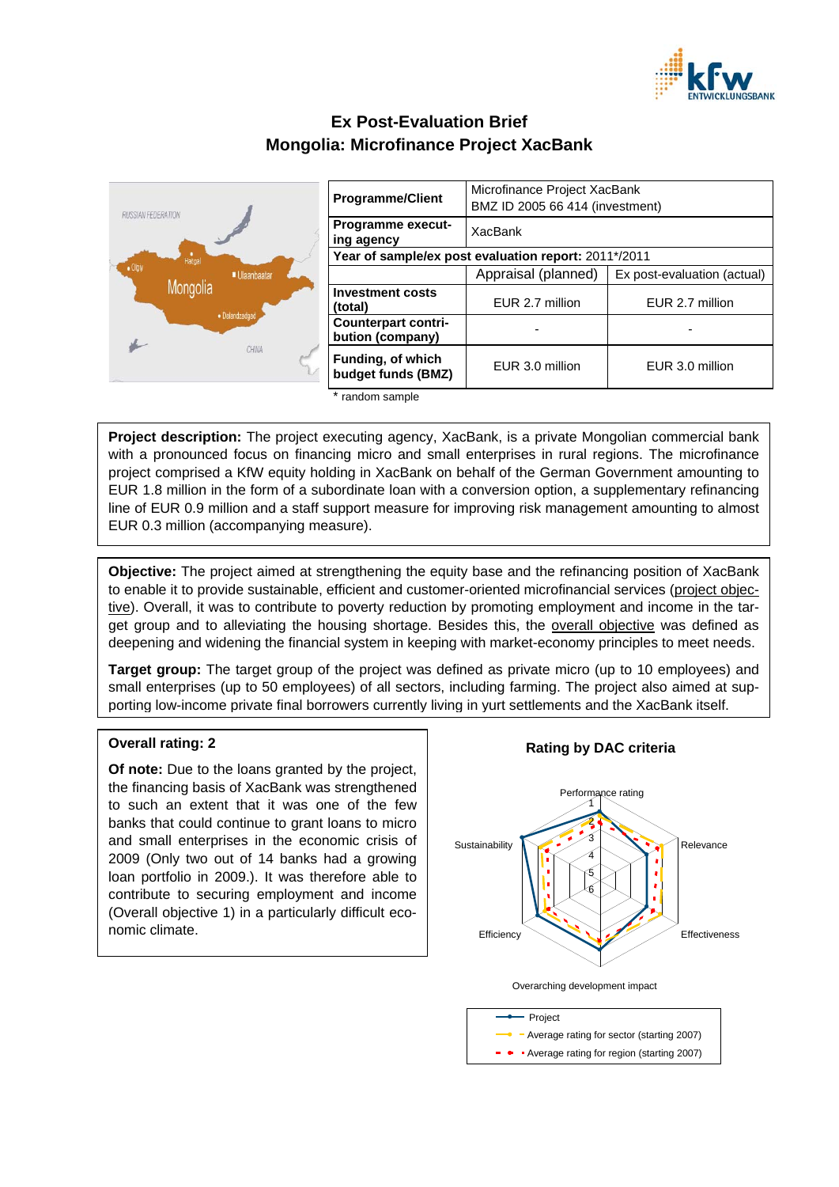

# **Ex Post-Evaluation Brief Mongolia: Microfinance Project XacBank**



| <b>Programme/Client</b>                              | Microfinance Project XacBank<br>BMZ ID 2005 66 414 (investment) |                             |
|------------------------------------------------------|-----------------------------------------------------------------|-----------------------------|
| Programme execut-<br>ing agency                      | XacBank                                                         |                             |
| Year of sample/ex post evaluation report: 2011*/2011 |                                                                 |                             |
|                                                      | Appraisal (planned)                                             | Ex post-evaluation (actual) |
| <b>Investment costs</b><br>(total)                   | EUR 2.7 million                                                 | EUR 2.7 million             |
| <b>Counterpart contri-</b><br>bution (company)       |                                                                 |                             |
| Funding, of which<br>budget funds (BMZ)              | EUR 3.0 million                                                 | EUR 3.0 million             |

random sample

**Project description:** The project executing agency, XacBank, is a private Mongolian commercial bank with a pronounced focus on financing micro and small enterprises in rural regions. The microfinance project comprised a KfW equity holding in XacBank on behalf of the German Government amounting to EUR 1.8 million in the form of a subordinate loan with a conversion option, a supplementary refinancing line of EUR 0.9 million and a staff support measure for improving risk management amounting to almost EUR 0.3 million (accompanying measure).

**Objective:** The project aimed at strengthening the equity base and the refinancing position of XacBank to enable it to provide sustainable, efficient and customer-oriented microfinancial services (project objective). Overall, it was to contribute to poverty reduction by promoting employment and income in the target group and to alleviating the housing shortage. Besides this, the overall objective was defined as deepening and widening the financial system in keeping with market-economy principles to meet needs.

**Target group:** The target group of the project was defined as private micro (up to 10 employees) and small enterprises (up to 50 employees) of all sectors, including farming. The project also aimed at supporting low-income private final borrowers currently living in yurt settlements and the XacBank itself.

## **Overall rating: 2**

**Of note:** Due to the loans granted by the project, the financing basis of XacBank was strengthened to such an extent that it was one of the few banks that could continue to grant loans to micro and small enterprises in the economic crisis of 2009 (Only two out of 14 banks had a growing loan portfolio in 2009.). It was therefore able to contribute to securing employment and income (Overall objective 1) in a particularly difficult economic climate.

## **Rating by DAC criteria**



Overarching development impact

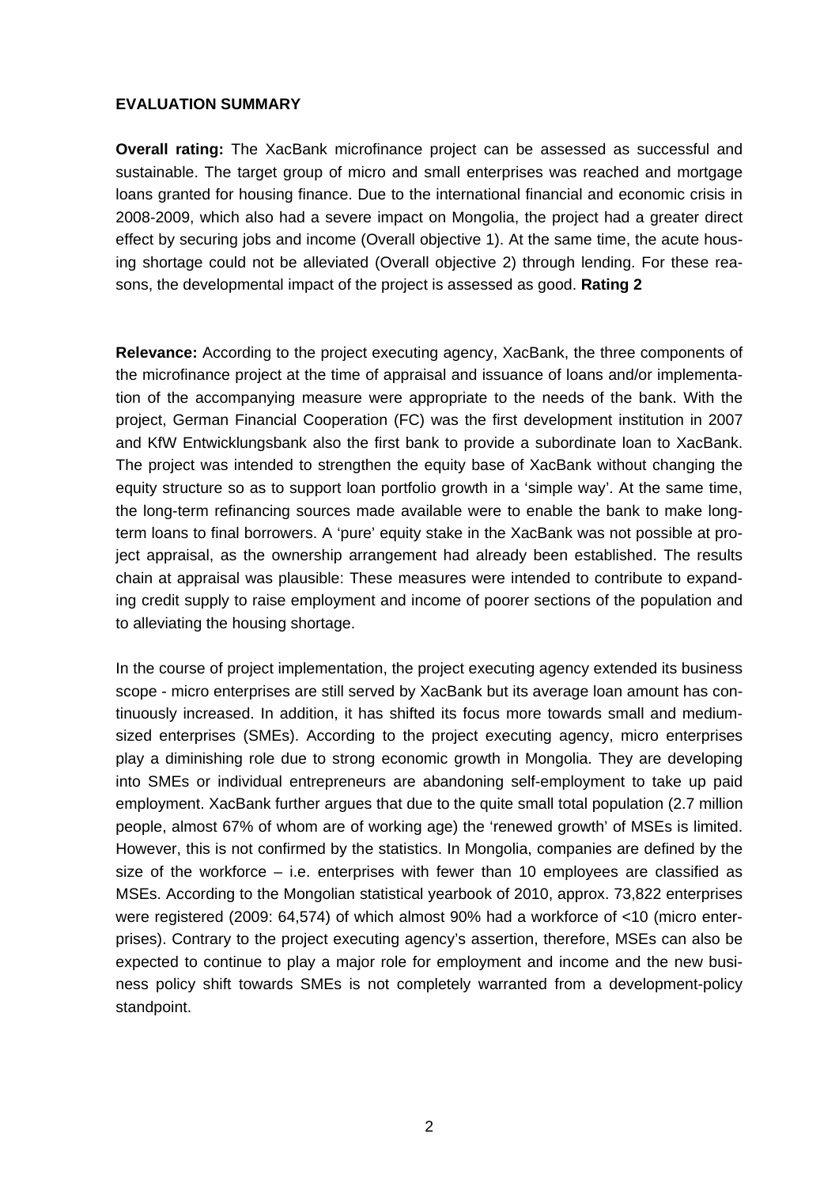## **EVALUATION SUMMARY**

**Overall rating:** The XacBank microfinance project can be assessed as successful and sustainable. The target group of micro and small enterprises was reached and mortgage loans granted for housing finance. Due to the international financial and economic crisis in 2008-2009, which also had a severe impact on Mongolia, the project had a greater direct effect by securing jobs and income (Overall objective 1). At the same time, the acute housing shortage could not be alleviated (Overall objective 2) through lending. For these reasons, the developmental impact of the project is assessed as good. **Rating 2**

**Relevance:** According to the project executing agency, XacBank, the three components of the microfinance project at the time of appraisal and issuance of loans and/or implementation of the accompanying measure were appropriate to the needs of the bank. With the project, German Financial Cooperation (FC) was the first development institution in 2007 and KfW Entwicklungsbank also the first bank to provide a subordinate loan to XacBank. The project was intended to strengthen the equity base of XacBank without changing the equity structure so as to support loan portfolio growth in a 'simple way'. At the same time, the long-term refinancing sources made available were to enable the bank to make longterm loans to final borrowers. A 'pure' equity stake in the XacBank was not possible at project appraisal, as the ownership arrangement had already been established. The results chain at appraisal was plausible: These measures were intended to contribute to expanding credit supply to raise employment and income of poorer sections of the population and to alleviating the housing shortage.

In the course of project implementation, the project executing agency extended its business scope - micro enterprises are still served by XacBank but its average loan amount has continuously increased. In addition, it has shifted its focus more towards small and mediumsized enterprises (SMEs). According to the project executing agency, micro enterprises play a diminishing role due to strong economic growth in Mongolia. They are developing into SMEs or individual entrepreneurs are abandoning self-employment to take up paid employment. XacBank further argues that due to the quite small total population (2.7 million people, almost 67% of whom are of working age) the 'renewed growth' of MSEs is limited. However, this is not confirmed by the statistics. In Mongolia, companies are defined by the size of the workforce  $-$  i.e. enterprises with fewer than 10 employees are classified as MSEs. According to the Mongolian statistical yearbook of 2010, approx. 73,822 enterprises were registered (2009: 64,574) of which almost 90% had a workforce of <10 (micro enterprises). Contrary to the project executing agency's assertion, therefore, MSEs can also be expected to continue to play a major role for employment and income and the new business policy shift towards SMEs is not completely warranted from a development-policy standpoint.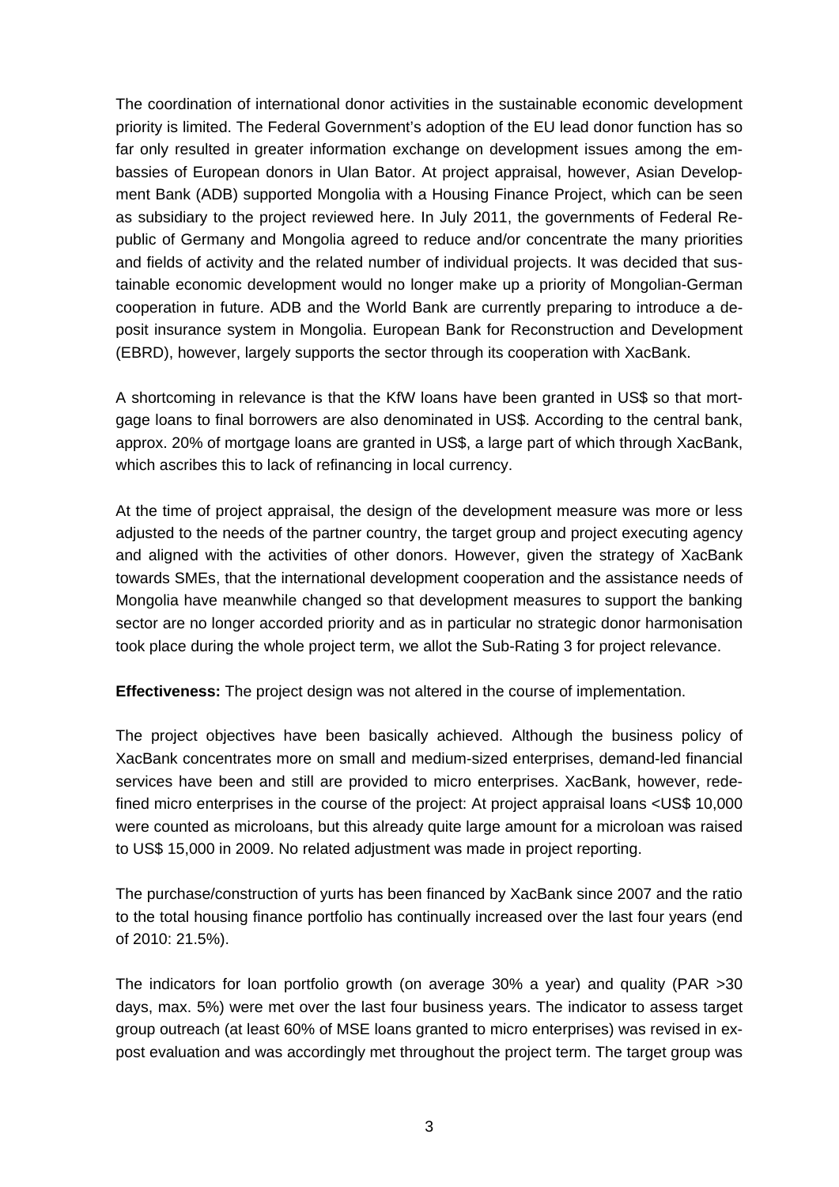The coordination of international donor activities in the sustainable economic development priority is limited. The Federal Government's adoption of the EU lead donor function has so far only resulted in greater information exchange on development issues among the embassies of European donors in Ulan Bator. At project appraisal, however, Asian Development Bank (ADB) supported Mongolia with a Housing Finance Project, which can be seen as subsidiary to the project reviewed here. In July 2011, the governments of Federal Republic of Germany and Mongolia agreed to reduce and/or concentrate the many priorities and fields of activity and the related number of individual projects. It was decided that sustainable economic development would no longer make up a priority of Mongolian-German cooperation in future. ADB and the World Bank are currently preparing to introduce a deposit insurance system in Mongolia. European Bank for Reconstruction and Development (EBRD), however, largely supports the sector through its cooperation with XacBank.

A shortcoming in relevance is that the KfW loans have been granted in US\$ so that mortgage loans to final borrowers are also denominated in US\$. According to the central bank, approx. 20% of mortgage loans are granted in US\$, a large part of which through XacBank, which ascribes this to lack of refinancing in local currency.

At the time of project appraisal, the design of the development measure was more or less adjusted to the needs of the partner country, the target group and project executing agency and aligned with the activities of other donors. However, given the strategy of XacBank towards SMEs, that the international development cooperation and the assistance needs of Mongolia have meanwhile changed so that development measures to support the banking sector are no longer accorded priority and as in particular no strategic donor harmonisation took place during the whole project term, we allot the Sub-Rating 3 for project relevance.

**Effectiveness:** The project design was not altered in the course of implementation.

The project objectives have been basically achieved. Although the business policy of XacBank concentrates more on small and medium-sized enterprises, demand-led financial services have been and still are provided to micro enterprises. XacBank, however, redefined micro enterprises in the course of the project: At project appraisal loans <US\$ 10,000 were counted as microloans, but this already quite large amount for a microloan was raised to US\$ 15,000 in 2009. No related adjustment was made in project reporting.

The purchase/construction of yurts has been financed by XacBank since 2007 and the ratio to the total housing finance portfolio has continually increased over the last four years (end of 2010: 21.5%).

The indicators for loan portfolio growth (on average 30% a year) and quality (PAR >30 days, max. 5%) were met over the last four business years. The indicator to assess target group outreach (at least 60% of MSE loans granted to micro enterprises) was revised in expost evaluation and was accordingly met throughout the project term. The target group was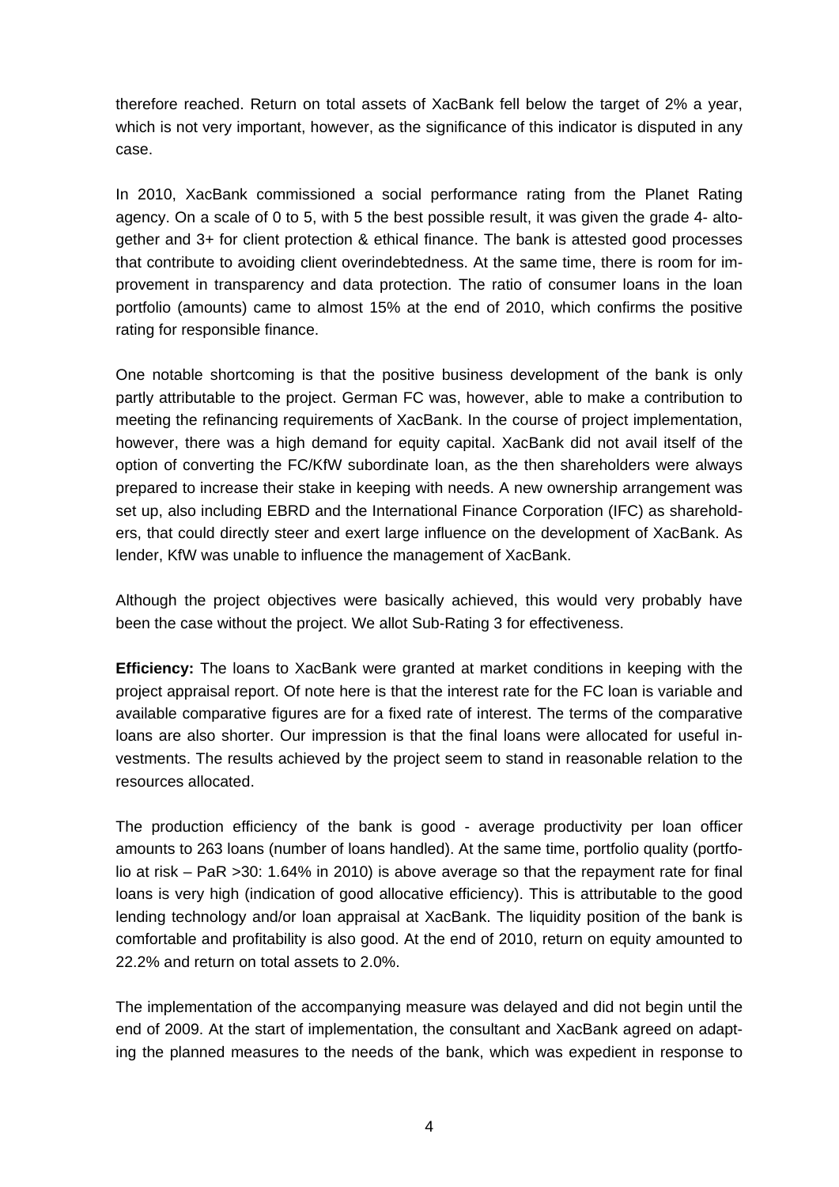therefore reached. Return on total assets of XacBank fell below the target of 2% a year, which is not very important, however, as the significance of this indicator is disputed in any case.

In 2010, XacBank commissioned a social performance rating from the Planet Rating agency. On a scale of 0 to 5, with 5 the best possible result, it was given the grade 4- altogether and 3+ for client protection & ethical finance. The bank is attested good processes that contribute to avoiding client overindebtedness. At the same time, there is room for improvement in transparency and data protection. The ratio of consumer loans in the loan portfolio (amounts) came to almost 15% at the end of 2010, which confirms the positive rating for responsible finance.

One notable shortcoming is that the positive business development of the bank is only partly attributable to the project. German FC was, however, able to make a contribution to meeting the refinancing requirements of XacBank. In the course of project implementation, however, there was a high demand for equity capital. XacBank did not avail itself of the option of converting the FC/KfW subordinate loan, as the then shareholders were always prepared to increase their stake in keeping with needs. A new ownership arrangement was set up, also including EBRD and the International Finance Corporation (IFC) as shareholders, that could directly steer and exert large influence on the development of XacBank. As lender, KfW was unable to influence the management of XacBank.

Although the project objectives were basically achieved, this would very probably have been the case without the project. We allot Sub-Rating 3 for effectiveness.

**Efficiency:** The loans to XacBank were granted at market conditions in keeping with the project appraisal report. Of note here is that the interest rate for the FC loan is variable and available comparative figures are for a fixed rate of interest. The terms of the comparative loans are also shorter. Our impression is that the final loans were allocated for useful investments. The results achieved by the project seem to stand in reasonable relation to the resources allocated.

The production efficiency of the bank is good - average productivity per loan officer amounts to 263 loans (number of loans handled). At the same time, portfolio quality (portfolio at risk – PaR >30: 1.64% in 2010) is above average so that the repayment rate for final loans is very high (indication of good allocative efficiency). This is attributable to the good lending technology and/or loan appraisal at XacBank. The liquidity position of the bank is comfortable and profitability is also good. At the end of 2010, return on equity amounted to 22.2% and return on total assets to 2.0%.

The implementation of the accompanying measure was delayed and did not begin until the end of 2009. At the start of implementation, the consultant and XacBank agreed on adapting the planned measures to the needs of the bank, which was expedient in response to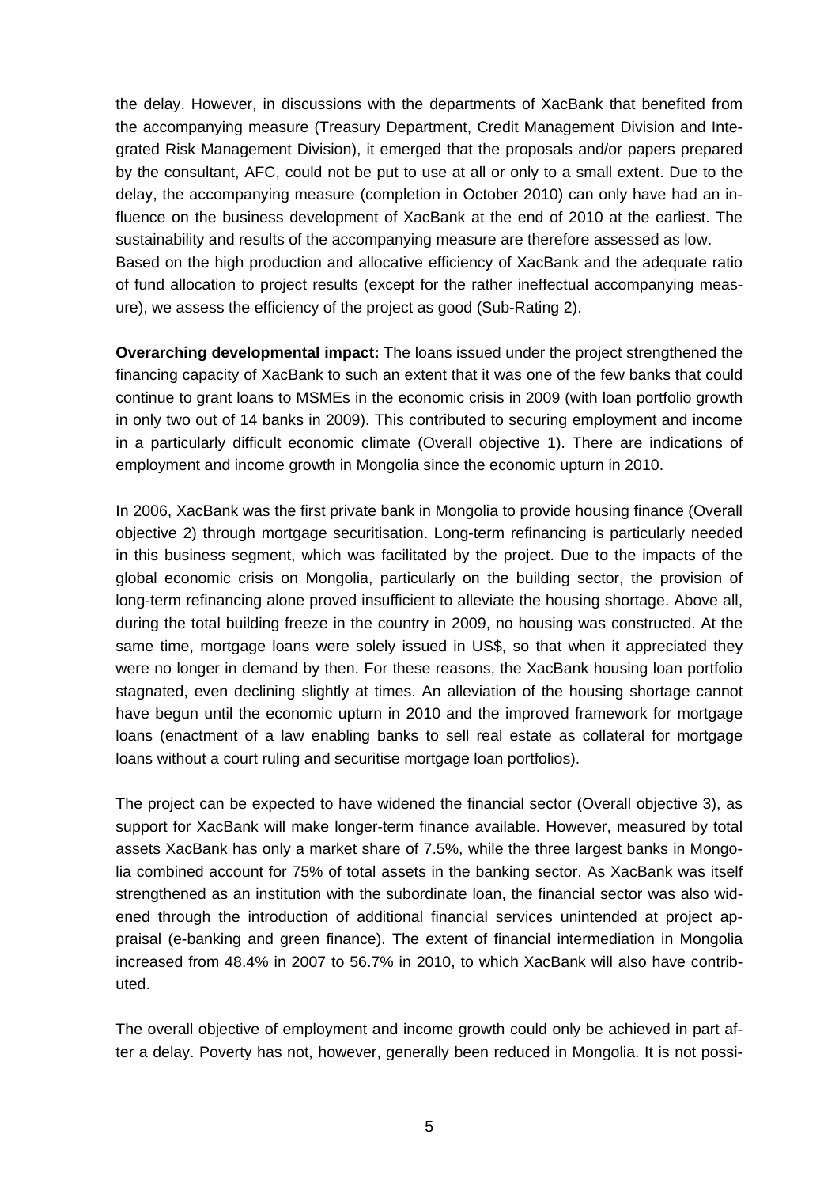the delay. However, in discussions with the departments of XacBank that benefited from the accompanying measure (Treasury Department, Credit Management Division and Integrated Risk Management Division), it emerged that the proposals and/or papers prepared by the consultant, AFC, could not be put to use at all or only to a small extent. Due to the delay, the accompanying measure (completion in October 2010) can only have had an influence on the business development of XacBank at the end of 2010 at the earliest. The sustainability and results of the accompanying measure are therefore assessed as low. Based on the high production and allocative efficiency of XacBank and the adequate ratio of fund allocation to project results (except for the rather ineffectual accompanying measure), we assess the efficiency of the project as good (Sub-Rating 2).

**Overarching developmental impact:** The loans issued under the project strengthened the financing capacity of XacBank to such an extent that it was one of the few banks that could continue to grant loans to MSMEs in the economic crisis in 2009 (with loan portfolio growth in only two out of 14 banks in 2009). This contributed to securing employment and income in a particularly difficult economic climate (Overall objective 1). There are indications of employment and income growth in Mongolia since the economic upturn in 2010.

In 2006, XacBank was the first private bank in Mongolia to provide housing finance (Overall objective 2) through mortgage securitisation. Long-term refinancing is particularly needed in this business segment, which was facilitated by the project. Due to the impacts of the global economic crisis on Mongolia, particularly on the building sector, the provision of long-term refinancing alone proved insufficient to alleviate the housing shortage. Above all, during the total building freeze in the country in 2009, no housing was constructed. At the same time, mortgage loans were solely issued in US\$, so that when it appreciated they were no longer in demand by then. For these reasons, the XacBank housing loan portfolio stagnated, even declining slightly at times. An alleviation of the housing shortage cannot have begun until the economic upturn in 2010 and the improved framework for mortgage loans (enactment of a law enabling banks to sell real estate as collateral for mortgage loans without a court ruling and securitise mortgage loan portfolios).

The project can be expected to have widened the financial sector (Overall objective 3), as support for XacBank will make longer-term finance available. However, measured by total assets XacBank has only a market share of 7.5%, while the three largest banks in Mongolia combined account for 75% of total assets in the banking sector. As XacBank was itself strengthened as an institution with the subordinate loan, the financial sector was also widened through the introduction of additional financial services unintended at project appraisal (e-banking and green finance). The extent of financial intermediation in Mongolia increased from 48.4% in 2007 to 56.7% in 2010, to which XacBank will also have contributed.

The overall objective of employment and income growth could only be achieved in part after a delay. Poverty has not, however, generally been reduced in Mongolia. It is not possi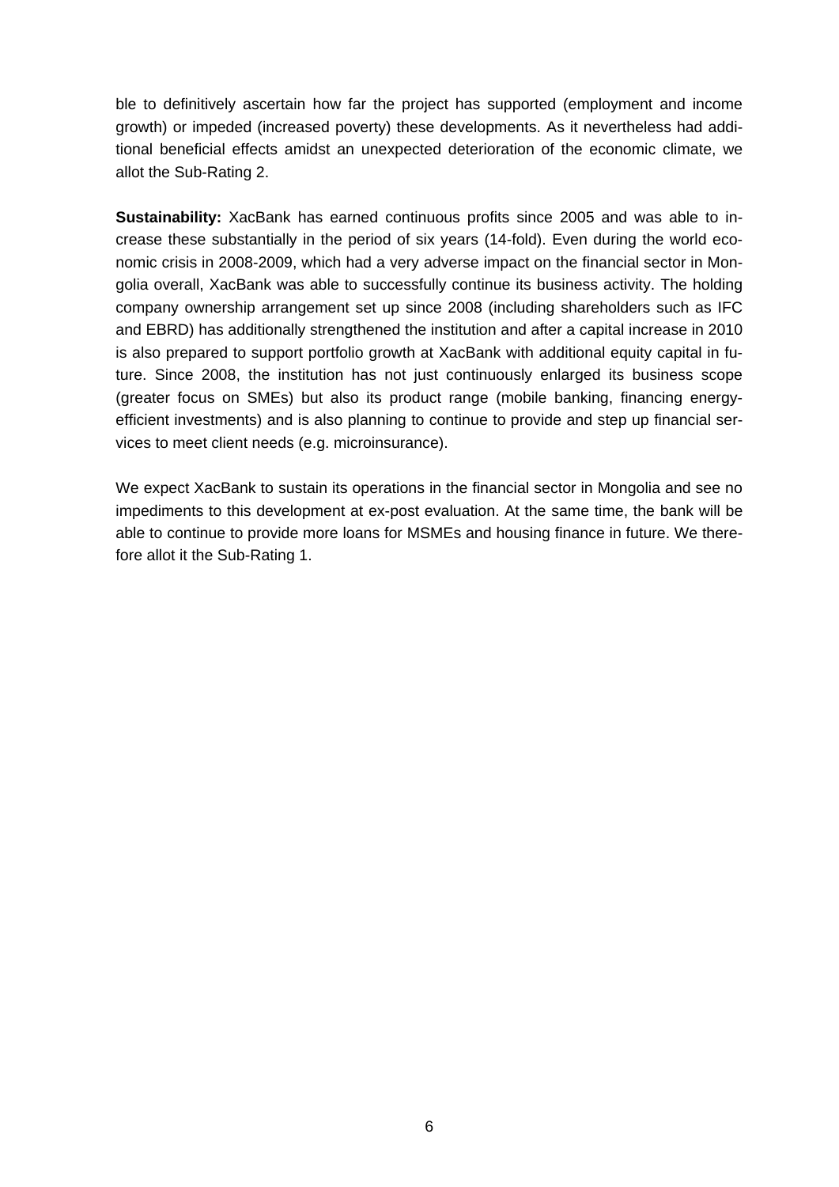ble to definitively ascertain how far the project has supported (employment and income growth) or impeded (increased poverty) these developments. As it nevertheless had additional beneficial effects amidst an unexpected deterioration of the economic climate, we allot the Sub-Rating 2.

**Sustainability:** XacBank has earned continuous profits since 2005 and was able to increase these substantially in the period of six years (14-fold). Even during the world economic crisis in 2008-2009, which had a very adverse impact on the financial sector in Mongolia overall, XacBank was able to successfully continue its business activity. The holding company ownership arrangement set up since 2008 (including shareholders such as IFC and EBRD) has additionally strengthened the institution and after a capital increase in 2010 is also prepared to support portfolio growth at XacBank with additional equity capital in future. Since 2008, the institution has not just continuously enlarged its business scope (greater focus on SMEs) but also its product range (mobile banking, financing energyefficient investments) and is also planning to continue to provide and step up financial services to meet client needs (e.g. microinsurance).

We expect XacBank to sustain its operations in the financial sector in Mongolia and see no impediments to this development at ex-post evaluation. At the same time, the bank will be able to continue to provide more loans for MSMEs and housing finance in future. We therefore allot it the Sub-Rating 1.